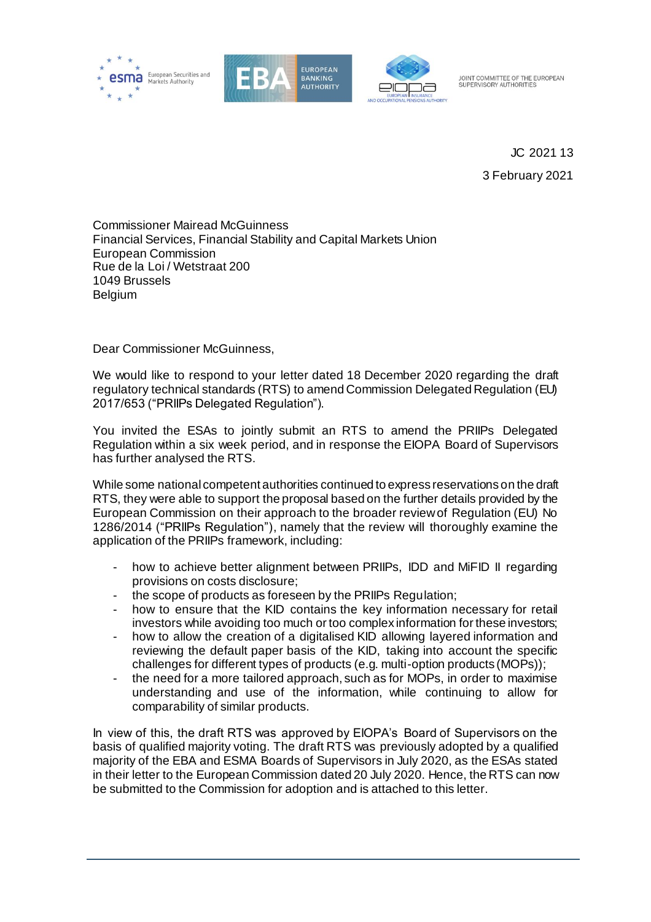





JOINT COMMITTEE OF THE EUROPEAN SUPERVISORY AUTHORITIES

> JC 2021 13 3 February 2021

Commissioner Mairead McGuinness Financial Services, Financial Stability and Capital Markets Union European Commission Rue de la Loi / Wetstraat 200 1049 Brussels Belgium

Dear Commissioner McGuinness,

We would like to respond to your letter dated 18 December 2020 regarding the draft regulatory technical standards (RTS) to amend Commission Delegated Regulation (EU) 2017/653 ("PRIIPs Delegated Regulation").

You invited the ESAs to jointly submit an RTS to amend the PRIIPs Delegated Regulation within a six week period, and in response the EIOPA Board of Supervisors has further analysed the RTS.

While some national competent authorities continued to express reservations on the draft RTS, they were able to support the proposal based on the further details provided by the European Commission on their approach to the broader review of Regulation (EU) No 1286/2014 ("PRIIPs Regulation"), namely that the review will thoroughly examine the application of the PRIIPs framework, including:

- how to achieve better alignment between PRIIPs, IDD and MiFID II regarding provisions on costs disclosure;
- the scope of products as foreseen by the PRIIPs Regulation;
- how to ensure that the KID contains the key information necessary for retail investors while avoiding too much or too complex information for these investors;
- how to allow the creation of a digitalised KID allowing layered information and reviewing the default paper basis of the KID, taking into account the specific challenges for different types of products (e.g. multi-option products (MOPs));
- the need for a more tailored approach, such as for MOPs, in order to maximise understanding and use of the information, while continuing to allow for comparability of similar products.

In view of this, the draft RTS was approved by EIOPA's Board of Supervisors on the basis of qualified majority voting. The draft RTS was previously adopted by a qualified majority of the EBA and ESMA Boards of Supervisors in July 2020, as the ESAs stated in their letter to the European Commission dated 20 July 2020. Hence, the RTS can now be submitted to the Commission for adoption and is attached to this letter.